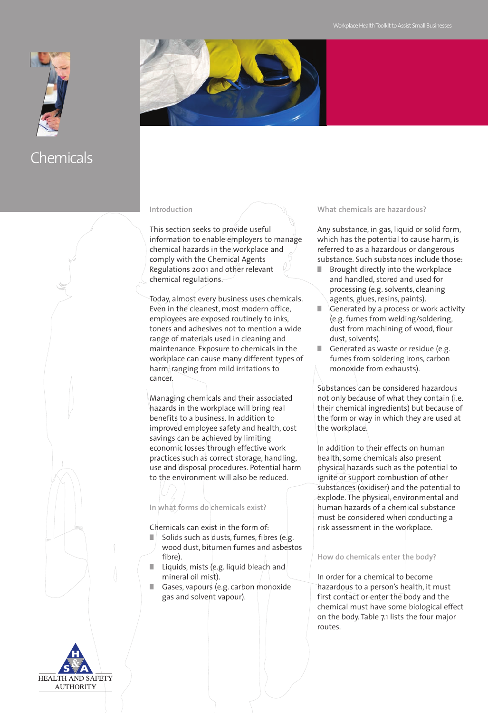



#### **Introduction**

This section seeks to provide useful information to enable employers to manage chemical hazards in the workplace and comply with the Chemical Agents Regulations 2001 and other relevant chemical regulations.

Today, almost every business uses chemicals. Even in the cleanest, most modern office, employees are exposed routinely to inks, toners and adhesives not to mention a wide range of materials used in cleaning and maintenance. Exposure to chemicals in the workplace can cause many different types of harm, ranging from mild irritations to cancer.

Managing chemicals and their associated hazards in the workplace will bring real benefits to a business. In addition to improved employee safety and health, cost savings can be achieved by limiting economic losses through effective work practices such as correct storage, handling, use and disposal procedures. Potential harm to the environment will also be reduced.

### **In what forms do chemicals exist?**

Chemicals can exist in the form of:

- Solids such as dusts, fumes, fibres (e.g. wood dust, bitumen fumes and asbestos fibre).
- Liquids, mists (e.g. liquid bleach and mineral oil mist).
- **■** Gases, vapours (e.g. carbon monoxide gas and solvent vapour).

#### **What chemicals are hazardous?**

Any substance, in gas, liquid or solid form, which has the potential to cause harm, is referred to as a hazardous or dangerous substance. Such substances include those:

- Brought directly into the workplace and handled, stored and used for processing (e.g. solvents, cleaning agents, glues, resins, paints).
- Generated by a process or work activity (e.g. fumes from welding/soldering, dust from machining of wood, flour dust, solvents).
- Generated as waste or residue (e.g. fumes from soldering irons, carbon monoxide from exhausts).

Substances can be considered hazardous not only because of what they contain (i.e. their chemical ingredients) but because of the form or way in which they are used at the workplace.

In addition to their effects on human health, some chemicals also present physical hazards such as the potential to ignite or support combustion of other substances (oxidiser) and the potential to explode. The physical, environmental and human hazards of a chemical substance must be considered when conducting a risk assessment in the workplace.

#### **How do chemicals enter the body?**

In order for a chemical to become hazardous to a person's health, it must first contact or enter the body and the chemical must have some biological effect on the body. Table 7.1 lists the four major routes.

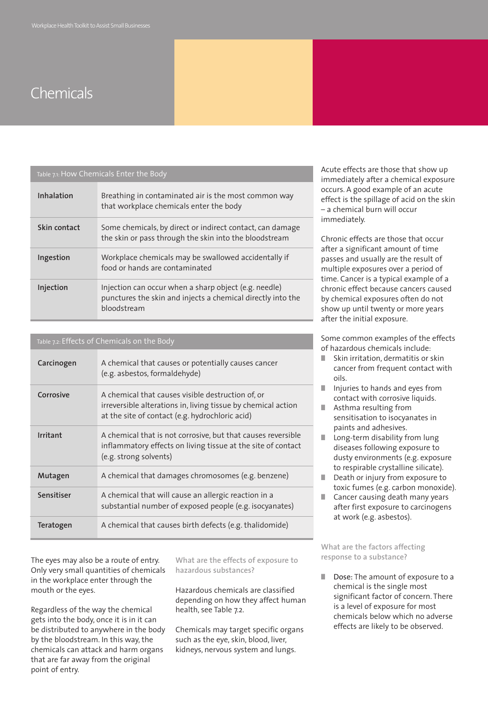| Table 7.1: How Chemicals Enter the Body |  |  |  |
|-----------------------------------------|--|--|--|
|-----------------------------------------|--|--|--|

| Inhalation   | Breathing in contaminated air is the most common way<br>that workplace chemicals enter the body                                     |
|--------------|-------------------------------------------------------------------------------------------------------------------------------------|
| Skin contact | Some chemicals, by direct or indirect contact, can damage<br>the skin or pass through the skin into the bloodstream                 |
| Ingestion    | Workplace chemicals may be swallowed accidentally if<br>food or hands are contaminated                                              |
| Injection    | Injection can occur when a sharp object (e.g. needle)<br>punctures the skin and injects a chemical directly into the<br>bloodstream |

| Carcinogen | A chemical that causes or potentially causes cancer<br>(e.g. asbestos, formaldehyde)                                                                                  |
|------------|-----------------------------------------------------------------------------------------------------------------------------------------------------------------------|
| Corrosive  | A chemical that causes visible destruction of, or<br>irreversible alterations in, living tissue by chemical action<br>at the site of contact (e.g. hydrochloric acid) |
| Irritant   | A chemical that is not corrosive, but that causes reversible<br>inflammatory effects on living tissue at the site of contact<br>(e.g. strong solvents)                |
| Mutagen    | A chemical that damages chromosomes (e.g. benzene)                                                                                                                    |
| Sensitiser | A chemical that will cause an allergic reaction in a<br>substantial number of exposed people (e.g. isocyanates)                                                       |
| Teratogen  | A chemical that causes birth defects (e.g. thalidomide)                                                                                                               |

The eyes may also be a route of entry. Only very small quantities of chemicals in the workplace enter through the mouth or the eyes.

Regardless of the way the chemical gets into the body, once it is in it can be distributed to anywhere in the body by the bloodstream. In this way, the chemicals can attack and harm organs that are far away from the original point of entry.

**What are the effects of exposure to hazardous substances?**

Hazardous chemicals are classified depending on how they affect human health, see Table 7.2.

Chemicals may target specific organs such as the eye, skin, blood, liver, kidneys, nervous system and lungs.

Acute effects are those that show up immediately after a chemical exposure occurs. A good example of an acute effect is the spillage of acid on the skin – a chemical burn will occur immediately.

Chronic effects are those that occur after a significant amount of time passes and usually are the result of multiple exposures over a period of time. Cancer is a typical example of a chronic effect because cancers caused by chemical exposures often do not show up until twenty or more years after the initial exposure.

Some common examples of the effects of hazardous chemicals include:

- Skin irritation, dermatitis or skin cancer from frequent contact with oils.
- **■** Injuries to hands and eyes from contact with corrosive liquids.
- Asthma resulting from sensitisation to isocyanates in paints and adhesives.
- Long-term disability from lung diseases following exposure to dusty environments (e.g. exposure to respirable crystalline silicate).
- Death or injury from exposure to toxic fumes (e.g. carbon monoxide).
- Cancer causing death many years after first exposure to carcinogens at work (e.g. asbestos).

#### **What are the factors affecting response to a substance?**

■ Dose: The amount of exposure to a chemical is the single most significant factor of concern. There is a level of exposure for most chemicals below which no adverse effects are likely to be observed.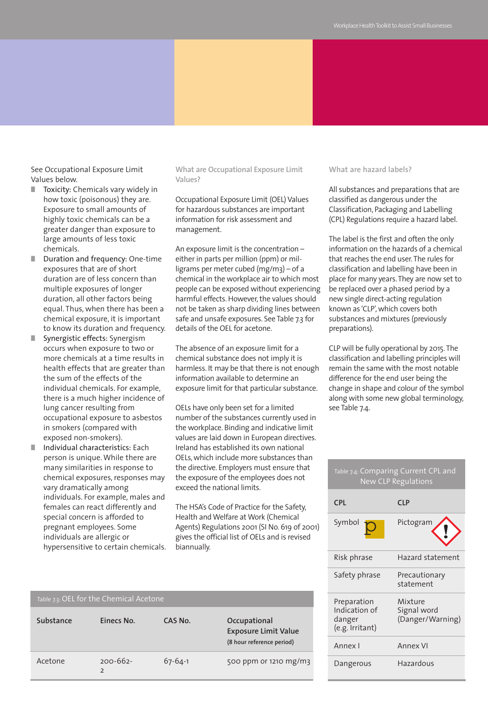See Occupational Exposure Limit Values below.

- **■** Toxicity: Chemicals vary widely in how toxic (poisonous) they are. Exposure to small amounts of highly toxic chemicals can be a greater danger than exposure to large amounts of less toxic chemicals.
- **■** Duration and frequency: One-time exposures that are of short duration are of less concern than multiple exposures of longer duration, all other factors being equal. Thus, when there has been a chemical exposure, it is important to know its duration and frequency.
- **■** Synergistic effects: Synergism occurs when exposure to two or more chemicals at a time results in health effects that are greater than the sum of the effects of the individual chemicals. For example, there is a much higher incidence of lung cancer resulting from occupational exposure to asbestos in smokers (compared with exposed non-smokers).
- **■** Individual characteristics: Each person is unique. While there are many similarities in response to chemical exposures, responses may vary dramatically among individuals. For example, males and females can react differently and special concern is afforded to pregnant employees. Some individuals are allergic or hypersensitive to certain chemicals.

**What are Occupational Exposure Limit Values?**

Occupational Exposure Limit (OEL) Values for hazardous substances are important information for risk assessment and management.

An exposure limit is the concentration – either in parts per million (ppm) or milligrams per meter cubed (mg/m3) – of a chemical in the workplace air to which most people can be exposed without experiencing harmful effects. However, the values should not be taken as sharp dividing lines between safe and unsafe exposures. See Table 7.3 for details of the OEL for acetone.

The absence of an exposure limit for a chemical substance does not imply it is harmless. It may be that there is not enough information available to determine an exposure limit for that particular substance.

OELs have only been set for a limited number of the substances currently used in the workplace. Binding and indicative limit values are laid down in European directives. Ireland has established its own national OELs, which include more substances than the directive. Employers must ensure that the exposure of the employees does not exceed the national limits.

The HSA's Code of Practice for the Safety, Health and Welfare at Work (Chemical Agents) Regulations 2001 (SI No. 619 of 2001) gives the official list of OELs and is revised biannually.

#### **What are hazard labels?**

All substances and preparations that are classified as dangerous under the Classification, Packaging and Labelling (CPL) Regulations require a hazard label.

The label is the first and often the only information on the hazards of a chemical that reaches the end user. The rules for classification and labelling have been in place for many years. They are now set to be replaced over a phased period by a new single direct-acting regulation known as 'CLP', which covers both substances and mixtures (previously preparations).

CLP will be fully operational by 2015. The classification and labelling principles will remain the same with the most notable difference for the end user being the change in shape and colour of the symbol along with some new global terminology, see Table 7.4.

| Table 7.4: Comparing Current CPL and<br><b>New CLP Regulations</b> |                                            |  |
|--------------------------------------------------------------------|--------------------------------------------|--|
| <b>CPL</b>                                                         | <b>CLP</b>                                 |  |
| Symbol                                                             | Pictogram                                  |  |
| Risk phrase                                                        | Hazard statement                           |  |
| Safety phrase                                                      | Precautionary<br>statement                 |  |
| Preparation<br>Indication of<br>danger<br>(e.g. Irritant)          | Mixture<br>Signal word<br>(Danger/Warning) |  |
| Annex I                                                            | Annex VI                                   |  |
| Dangerous                                                          | Hazardous                                  |  |

| Table 7.3: OEL for the Chemical Acetone |                                 |               |                                                                          |
|-----------------------------------------|---------------------------------|---------------|--------------------------------------------------------------------------|
| Substance                               | Einecs No.                      | CAS No.       | Occupational<br><b>Exposure Limit Value</b><br>(8 hour reference period) |
| Acetone                                 | $200 - 662 -$<br>$\overline{2}$ | $67 - 64 - 1$ | 500 ppm or 1210 mg/m3                                                    |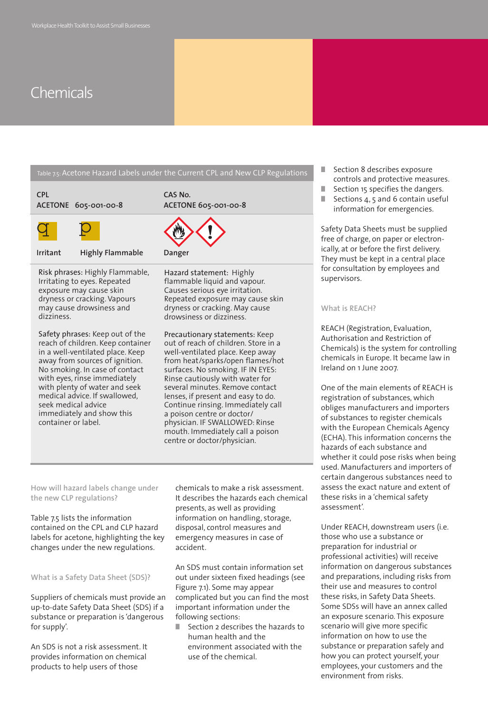|                                                                                                                                                                                                                                                                                                                                                           | Table 7.5: Acetone Hazard Labels under the Current CPL and New CLP Regulations                                                                                                                                                                                                                                                                                                                                                                                           |
|-----------------------------------------------------------------------------------------------------------------------------------------------------------------------------------------------------------------------------------------------------------------------------------------------------------------------------------------------------------|--------------------------------------------------------------------------------------------------------------------------------------------------------------------------------------------------------------------------------------------------------------------------------------------------------------------------------------------------------------------------------------------------------------------------------------------------------------------------|
| <b>CPL</b><br>ACETONE 605-001-00-8                                                                                                                                                                                                                                                                                                                        | CAS No.<br>ACETONE 605-001-00-8                                                                                                                                                                                                                                                                                                                                                                                                                                          |
|                                                                                                                                                                                                                                                                                                                                                           |                                                                                                                                                                                                                                                                                                                                                                                                                                                                          |
| <b>Highly Flammable</b><br>Irritant                                                                                                                                                                                                                                                                                                                       | Danger                                                                                                                                                                                                                                                                                                                                                                                                                                                                   |
| Risk phrases: Highly Flammable,<br>Irritating to eyes. Repeated<br>exposure may cause skin<br>dryness or cracking. Vapours<br>may cause drowsiness and<br>dizziness.                                                                                                                                                                                      | Hazard statement: Highly<br>flammable liquid and vapour.<br>Causes serious eye irritation.<br>Repeated exposure may cause skin<br>dryness or cracking. May cause<br>drowsiness or dizziness.                                                                                                                                                                                                                                                                             |
| Safety phrases: Keep out of the<br>reach of children. Keep container<br>in a well-ventilated place. Keep<br>away from sources of ignition.<br>No smoking. In case of contact<br>with eyes, rinse immediately<br>with plenty of water and seek<br>medical advice. If swallowed,<br>seek medical advice<br>immediately and show this<br>container or label. | Precautionary statements: Keep<br>out of reach of children. Store in a<br>well-ventilated place. Keep away<br>from heat/sparks/open flames/hot<br>surfaces. No smoking. IF IN EYES:<br>Rinse cautiously with water for<br>several minutes. Remove contact<br>lenses, if present and easy to do.<br>Continue rinsing. Immediately call<br>a poison centre or doctor/<br>physician. IF SWALLOWED: Rinse<br>mouth. Immediately call a poison<br>centre or doctor/physician. |
| How will hazard labels change under<br>the new CLP regulations?<br>Table 7.5 lists the information<br>contained on the CPL and CLP hazard<br>labels for acetone, highlighting the key<br>changes under the new regulations.                                                                                                                               | chemicals to make a risk assessment.<br>It describes the hazards each chemical<br>presents, as well as providing<br>information on handling, storage,<br>disposal, control measures and<br>emergency measures in case of<br>accident.                                                                                                                                                                                                                                    |
| What is a Safety Data Sheet (SDS)?<br>Suppliers of chemicals must provide an<br>up-to-date Safety Data Sheet (SDS) if a<br>substance or preparation is 'dangerous<br>for supply'.                                                                                                                                                                         | An SDS must contain information set<br>out under sixteen fixed headings (see<br>Figure 7.1). Some may appear<br>complicated but you can find the most<br>important information under the<br>following sections:<br>Section 2 describes the hazards to                                                                                                                                                                                                                    |

An SDS is not a risk assessment. It provides information on chemical products to help users of those

**■** Section 2 describes the hazards to human health and the environment associated with the use of the chemical.

- **■** Section 8 describes exposure controls and protective measures.
- Section 15 specifies the dangers.
- Sections 4, 5 and 6 contain useful information for emergencies.

Safety Data Sheets must be supplied free of charge, on paper or electronically, at or before the first delivery. They must be kept in a central place for consultation by employees and supervisors.

#### **What is REACH?**

REACH (Registration, Evaluation, Authorisation and Restriction of Chemicals) is the system for controlling chemicals in Europe. It became law in Ireland on 1 June 2007.

One of the main elements of REACH is registration of substances, which obliges manufacturers and importers of substances to register chemicals with the European Chemicals Agency (ECHA). This information concerns the hazards of each substance and whether it could pose risks when being used. Manufacturers and importers of certain dangerous substances need to assess the exact nature and extent of these risks in a 'chemical safety assessment'.

Under REACH, downstream users (i.e. those who use a substance or preparation for industrial or professional activities) will receive information on dangerous substances and preparations, including risks from their use and measures to control these risks, in Safety Data Sheets. Some SDSs will have an annex called an exposure scenario. This exposure scenario will give more specific information on how to use the substance or preparation safely and how you can protect yourself, your employees, your customers and the environment from risks.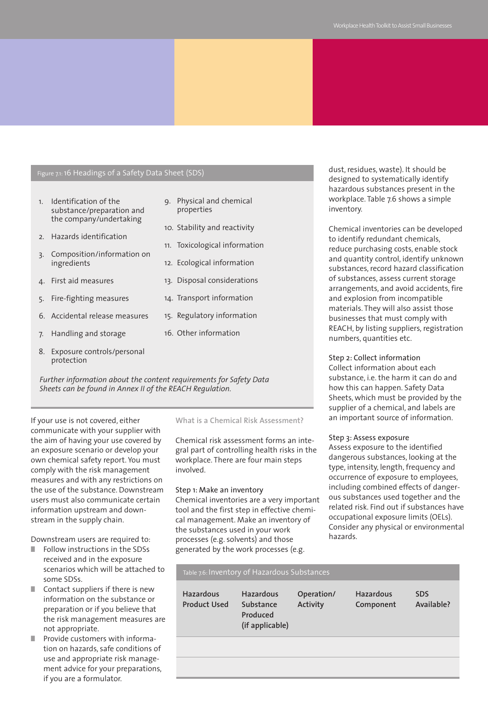#### Figure 7.1:16 Headings of a Safety Data Sheet (SDS)

- 1. Identification of the substance/preparation and the company/undertaking
- 2. Hazards identification
- 3. Composition/information on ingredients
- 4. First aid measures
- 5. Fire-fighting measures
- 6. Accidental release measures
- 7. Handling and storage
- 8. Exposure controls/personal protection

*Further information about the content requirements for Safety Data Sheets can be found in Annex II of the REACH Regulation.*

If your use is not covered, either communicate with your supplier with the aim of having your use covered by an exposure scenario or develop your own chemical safety report. You must comply with the risk management measures and with any restrictions on the use of the substance. Downstream users must also communicate certain information upstream and downstream in the supply chain.

Downstream users are required to:

- **■** Follow instructions in the SDSs received and in the exposure scenarios which will be attached to some SDSs.
- Contact suppliers if there is new information on the substance or preparation or if you believe that the risk management measures are not appropriate.
- Provide customers with information on hazards, safe conditions of use and appropriate risk management advice for your preparations, if you are a formulator.

#### 9. Physical and chemical properties

- 10. Stability and reactivity
- 11. Toxicological information
- 12. Ecological information
- 13. Disposal considerations
- 14. Transport information
- 15. Regulatory information
- 16. Other information

**What is a Chemical Risk Assessment?**

Chemical risk assessment forms an integral part of controlling health risks in the workplace. There are four main steps involved.

#### Step 1: Make an inventory

Chemical inventories are a very important tool and the first step in effective chemical management. Make an inventory of the substances used in your work processes (e.g. solvents) and those generated by the work processes (e.g.

dust, residues, waste). It should be designed to systematically identify hazardous substances present in the workplace. Table 7.6 shows a simple inventory.

Chemical inventories can be developed to identify redundant chemicals, reduce purchasing costs, enable stock and quantity control, identify unknown substances, record hazard classification of substances, assess current storage arrangements, and avoid accidents, fire and explosion from incompatible materials. They will also assist those businesses that must comply with REACH, by listing suppliers, registration numbers, quantities etc.

#### Step 2: Collect information

Collect information about each substance, i.e. the harm it can do and how this can happen. Safety Data Sheets, which must be provided by the supplier of a chemical, and labels are an important source of information.

#### Step 3: Assess exposure

Assess exposure to the identified dangerous substances, looking at the type, intensity, length, frequency and occurrence of exposure to employees, including combined effects of dangerous substances used together and the related risk. Find out if substances have occupational exposure limits (OELs). Consider any physical or environmental hazards.

| Table 7.6: Inventory of Hazardous Substances |                                                              |                        |                               |                          |
|----------------------------------------------|--------------------------------------------------------------|------------------------|-------------------------------|--------------------------|
| <b>Hazardous</b><br><b>Product Used</b>      | <b>Hazardous</b><br>Substance<br>Produced<br>(if applicable) | Operation/<br>Activity | <b>Hazardous</b><br>Component | <b>SDS</b><br>Available? |
|                                              |                                                              |                        |                               |                          |
|                                              |                                                              |                        |                               |                          |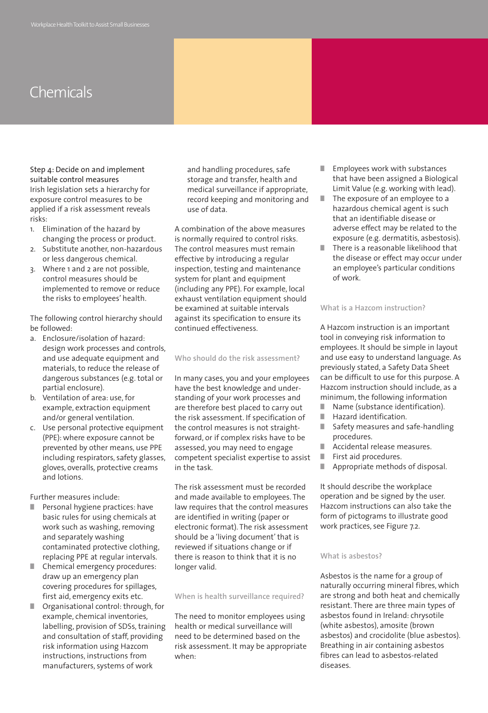Step 4: Decide on and implement suitable control measures Irish legislation sets a hierarchy for exposure control measures to be applied if a risk assessment reveals risks:

- 1. Elimination of the hazard by changing the process or product.
- 2. Substitute another, non-hazardous or less dangerous chemical.
- 3. Where 1 and 2 are not possible, control measures should be implemented to remove or reduce the risks to employees' health.

The following control hierarchy should be followed:

- a. Enclosure/isolation of hazard: design work processes and controls, and use adequate equipment and materials, to reduce the release of dangerous substances (e.g. total or partial enclosure).
- b. Ventilation of area: use, for example, extraction equipment and/or general ventilation.
- c. Use personal protective equipment (PPE): where exposure cannot be prevented by other means, use PPE including respirators, safety glasses, gloves, overalls, protective creams and lotions.

Further measures include:

- Personal hygiene practices: have basic rules for using chemicals at work such as washing, removing and separately washing contaminated protective clothing, replacing PPE at regular intervals.
- Chemical emergency procedures: draw up an emergency plan covering procedures for spillages, first aid, emergency exits etc.
- **■** Organisational control: through, for example, chemical inventories, labelling, provision of SDSs, training and consultation of staff, providing risk information using Hazcom instructions, instructions from manufacturers, systems of work

and handling procedures, safe storage and transfer, health and medical surveillance if appropriate, record keeping and monitoring and use of data.

A combination of the above measures is normally required to control risks. The control measures must remain effective by introducing a regular inspection, testing and maintenance system for plant and equipment (including any PPE). For example, local exhaust ventilation equipment should be examined at suitable intervals against its specification to ensure its continued effectiveness.

#### **Who should do the risk assessment?**

In many cases, you and your employees have the best knowledge and understanding of your work processes and are therefore best placed to carry out the risk assessment. If specification of the control measures is not straightforward, or if complex risks have to be assessed, you may need to engage competent specialist expertise to assist in the task.

The risk assessment must be recorded and made available to employees. The law requires that the control measures are identified in writing (paper or electronic format). The risk assessment should be a 'living document' that is reviewed if situations change or if there is reason to think that it is no longer valid.

#### **When is health surveillance required?**

The need to monitor employees using health or medical surveillance will need to be determined based on the risk assessment. It may be appropriate when:

- **■** Employees work with substances that have been assigned a Biological Limit Value (e.g. working with lead).
- The exposure of an employee to a hazardous chemical agent is such that an identifiable disease or adverse effect may be related to the exposure (e.g. dermatitis, asbestosis).
- **■** There is a reasonable likelihood that the disease or effect may occur under an employee's particular conditions of work.

#### **What is a Hazcom instruction?**

A Hazcom instruction is an important tool in conveying risk information to employees. It should be simple in layout and use easy to understand language. As previously stated, a Safety Data Sheet can be difficult to use for this purpose. A Hazcom instruction should include, as a minimum, the following information

- Name (substance identification).
- **■** Hazard identification.
- Safety measures and safe-handling procedures.
- **■** Accidental release measures.
- **■** First aid procedures.
- **■** Appropriate methods of disposal.

It should describe the workplace operation and be signed by the user. Hazcom instructions can also take the form of pictograms to illustrate good work practices, see Figure 7.2.

#### **What is asbestos?**

Asbestos is the name for a group of naturally occurring mineral fibres, which are strong and both heat and chemically resistant. There are three main types of asbestos found in Ireland: chrysotile (white asbestos), amosite (brown asbestos) and crocidolite (blue asbestos). Breathing in air containing asbestos fibres can lead to asbestos-related diseases.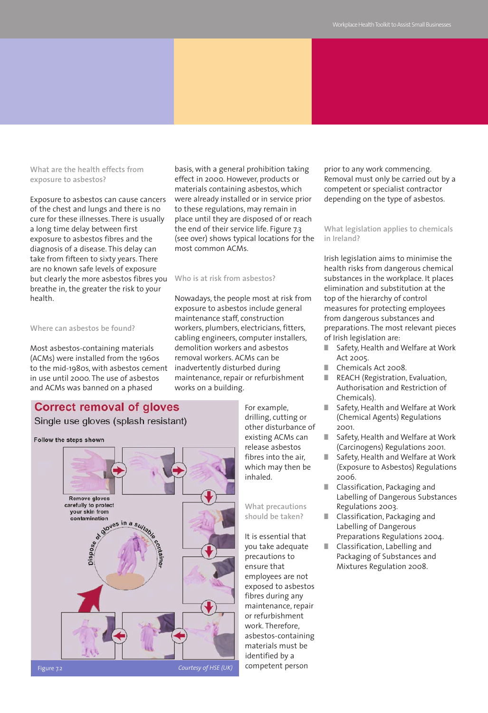**What are the health effects from exposure to asbestos?**

Exposure to asbestos can cause cancers of the chest and lungs and there is no cure for these illnesses. There is usually a long time delay between first exposure to asbestos fibres and the diagnosis of a disease. This delay can take from fifteen to sixty years. There are no known safe levels of exposure but clearly the more asbestos fibres you breathe in, the greater the risk to your health.

#### **Where can asbestos be found?**

Most asbestos-containing materials (ACMs) were installed from the 1960s to the mid-1980s, with asbestos cement in use until 2000. The use of asbestos and ACMs was banned on a phased

### **Correct removal of gloves**

### Single use gloves (splash resistant)





basis, with a general prohibition taking effect in 2000. However, products or materials containing asbestos, which were already installed or in service prior to these regulations, may remain in place until they are disposed of or reach the end of their service life. Figure 7.3 (see over) shows typical locations for the most common ACMs.

#### **Who is at risk from asbestos?**

Nowadays, the people most at risk from exposure to asbestos include general maintenance staff, construction workers, plumbers, electricians, fitters, cabling engineers, computer installers, demolition workers and asbestos removal workers. ACMs can be inadvertently disturbed during maintenance, repair or refurbishment works on a building.

> For example, drilling, cutting or other disturbance of existing ACMs can release asbestos fibres into the air, which may then be inhaled.

**What precautions should be taken?**

It is essential that you take adequate precautions to ensure that employees are not exposed to asbestos fibres during any maintenance, repair or refurbishment work. Therefore, asbestos-containing materials must be identified by a competent person

prior to any work commencing. Removal must only be carried out by a competent or specialist contractor depending on the type of asbestos.

**What legislation applies to chemicals in Ireland?**

Irish legislation aims to minimise the health risks from dangerous chemical substances in the workplace. It places elimination and substitution at the top of the hierarchy of control measures for protecting employees from dangerous substances and preparations. The most relevant pieces of Irish legislation are:

- **■** Safety, Health and Welfare at Work Act 2005.
- **■** Chemicals Act 2008.
- **■** REACH (Registration, Evaluation, Authorisation and Restriction of Chemicals).
- **■** Safety, Health and Welfare at Work (Chemical Agents) Regulations 2001.
- **■** Safety, Health and Welfare at Work (Carcinogens) Regulations 2001.
- **■** Safety, Health and Welfare at Work (Exposure to Asbestos) Regulations 2006.
- **■** Classification, Packaging and Labelling of Dangerous Substances Regulations 2003.
- **■** Classification, Packaging and Labelling of Dangerous Preparations Regulations 2004.
- Classification, Labelling and Packaging of Substances and Mixtures Regulation 2008.